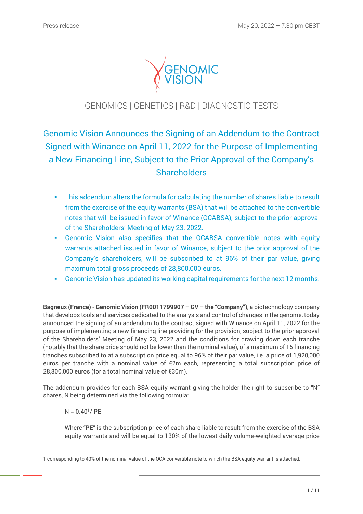

# GENOMICS | GENETICS | R&D | DIAGNOSTIC TESTS

Genomic Vision Announces the Signing of an Addendum to the Contract Signed with Winance on April 11, 2022 for the Purpose of Implementing a New Financing Line, Subject to the Prior Approval of the Company's **Shareholders** 

- **This addendum alters the formula for calculating the number of shares liable to result** from the exercise of the equity warrants (BSA) that will be attached to the convertible notes that will be issued in favor of Winance (OCABSA), subject to the prior approval of the Shareholders' Meeting of May 23, 2022.
- Genomic Vision also specifies that the OCABSA convertible notes with equity warrants attached issued in favor of Winance, subject to the prior approval of the Company's shareholders, will be subscribed to at 96% of their par value, giving maximum total gross proceeds of 28,800,000 euros.
- Genomic Vision has updated its working capital requirements for the next 12 months.

**Bagneux (France) - Genomic Vision (FR0011799907 – GV – the "Company")**, a biotechnology company that develops tools and services dedicated to the analysis and control of changes in the genome, today announced the signing of an addendum to the contract signed with Winance on April 11, 2022 for the purpose of implementing a new financing line providing for the provision, subject to the prior approval of the Shareholders' Meeting of May 23, 2022 and the conditions for drawing down each tranche (notably that the share price should not be lower than the nominal value), of a maximum of 15 financing tranches subscribed to at a subscription price equal to 96% of their par value, i.e. a price of 1,920,000 euros per tranche with a nominal value of €2m each, representing a total subscription price of 28,800,000 euros (for a total nominal value of €30m).

The addendum provides for each BSA equity warrant giving the holder the right to subscribe to "N" shares, N being determined via the following formula:

 $N = 0.40$ <sup>1</sup>/ PE

 $\overline{a}$ 

Where "**PE**" is the subscription price of each share liable to result from the exercise of the BSA equity warrants and will be equal to 130% of the lowest daily volume-weighted average price

<sup>1</sup> corresponding to 40% of the nominal value of the OCA convertible note to which the BSA equity warrant is attached.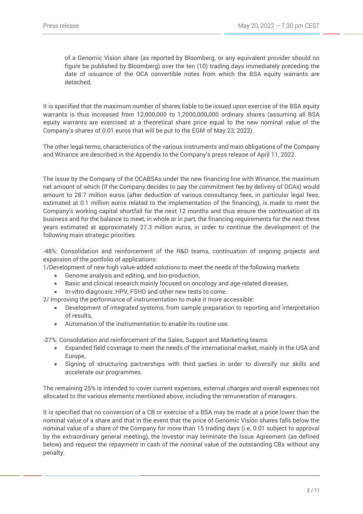of a Genomic Vision share (as reported by Bloomberg, or any equivalent provider should no figure be published by Bloomberg) over the ten (10) trading days immediately preceding the date of issuance of the OCA convertible notes from which the BSA equity warrants are detached,

It is specified that the maximum number of shares liable to be issued upon exercise of the BSA equity warrants is thus increased from 12,000,000 to 1,2000,000,000 ordinary shares (assuming all BSA equity warrants are exercised at a theoretical share price equal to the new nominal value of the Company's shares of 0.01 euros that will be put to the EGM of May 23, 2022).

The other legal terms, characteristics of the various instruments and main obligations of the Company and Winance are described in the Appendix to the Company's press release of April 11, 2022.

The issue by the Company of the OCABSAs under the new financing line with Winance, the maximum net amount of which (if the Company decides to pay the commitment fee by delivery of OCAs) would amount to 28.7 million euros (after deduction of various consultancy fees, in particular legal fees, estimated at 0.1 million euros related to the implementation of the financing), is made to meet the Company's working capital shortfall for the next 12 months and thus ensure the continuation of its business and for the balance to meet, in whole or in part, the financing requirements for the next three years estimated at approximately 27.3 million euros, in order to continue the development of the following main strategic priorities

-48%: Consolidation and reinforcement of the R&D teams, continuation of ongoing projects and expansion of the portfolio of applications:

1/Development of new high value-added solutions to meet the needs of the following markets:

- Genome analysis and editing, and bio-production,
- Basic and clinical research mainly focused on oncology and age-related diseases,
- In-vitro diagnosis: HPV, FSHD and other new tests to come.

2/ Improving the performance of instrumentation to make it more accessible:

- Development of integrated systems, from sample preparation to reporting and interpretation of results,
- Automation of the instrumentation to enable its routine use.

-27%: Consolidation and reinforcement of the Sales, Support and Marketing teams:

- Expanded field coverage to meet the needs of the international market, mainly in the USA and Europe,
- Signing of structuring partnerships with third parties in order to diversify our skills and accelerate our programmes.

The remaining 25% is intended to cover current expenses, external charges and overall expenses not allocated to the various elements mentioned above, including the remuneration of managers.

It is specified that no conversion of a CB or exercise of a BSA may be made at a price lower than the nominal value of a share and that in the event that the price of Genomic Vision shares falls below the nominal value of a share of the Company for more than 15 trading days (i.e, 0.01 subject to approval by the extraordinary general meeting), the Investor may terminate the Issue Agreement (as defined below) and request the repayment in cash of the nominal value of the outstanding CBs without any penalty.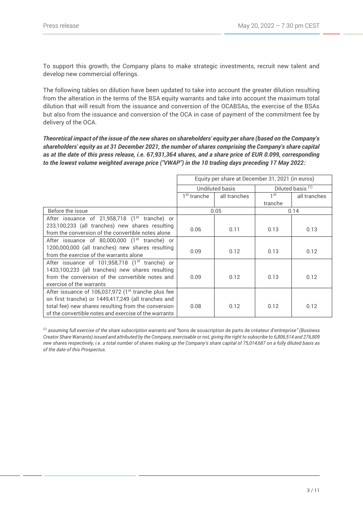To support this growth, the Company plans to make strategic investments, recruit new talent and develop new commercial offerings.

The following tables on dilution have been updated to take into account the greater dilution resulting from the alteration in the terms of the BSA equity warrants and take into account the maximum total dilution that will result from the issuance and conversion of the OCABSAs, the exercise of the BSAs but also from the issuance and conversion of the OCA in case of payment of the commitment fee by delivery of the OCA.

*Theoretical impact of the issue of the new shares on shareholders' equity per share (based on the Company's shareholders' equity as at 31 December 2021, the number of shares comprising the Company's share capital as at the date of this press release, i.e. 67,931,364 shares, and a share price of EUR 0.099, corresponding to the lowest volume weighted average price ("VWAP") in the 10 trading days preceding 17 May 2022:*

|                                                                 | Equity per share at December 31, 2021 (in euros) |              |                              |              |
|-----------------------------------------------------------------|--------------------------------------------------|--------------|------------------------------|--------------|
|                                                                 | Undiluted basis                                  |              | Diluted basis <sup>(1)</sup> |              |
|                                                                 | 1 <sup>st</sup> tranche                          | all tranches | 1 st                         | all tranches |
|                                                                 |                                                  |              | tranche                      |              |
| Before the issue                                                | 0.05<br>0.14                                     |              |                              |              |
| After issuance of 21,958,718 (1 <sup>st</sup> tranche) or       |                                                  |              |                              |              |
| 233,100,233 (all tranches) new shares resulting                 | 0.06                                             | 0.11         | 0.13                         | 0.13         |
| from the conversion of the convertible notes alone              |                                                  |              |                              |              |
| After issuance of 80,000,000 $(1st$ tranche) or                 |                                                  |              |                              |              |
| 1200,000,000 (all tranches) new shares resulting                | 0.09                                             | 0.12         | 0.13                         | 0.12         |
| from the exercise of the warrants alone                         |                                                  |              |                              |              |
| After issuance of 101,958,718 (1 <sup>st</sup> tranche) or      |                                                  |              |                              |              |
| 1433,100,233 (all tranches) new shares resulting                |                                                  |              |                              |              |
| from the conversion of the convertible notes and                | 0.09                                             | 0.12         | 0.13                         | 0.12         |
| exercise of the warrants                                        |                                                  |              |                              |              |
| After issuance of 106,037,972 (1 <sup>st</sup> tranche plus fee |                                                  |              |                              |              |
| on first tranche) or 1449,417,249 (all tranches and             |                                                  |              |                              |              |
| total fee) new shares resulting from the conversion             | 0.08                                             | 0.12         | 0.12                         | 0.12         |
| of the convertible notes and exercise of the warrants           |                                                  |              |                              |              |

*(1) assuming full exercise of the share subscription warrants and "*bons de souscription de parts de créateur d'entreprise*" (Business Creator Share Warrants) issued and attributed by the Company, exercisable or not, giving the right to subscribe to 6,806,514 and 276,809 new shares respectively, i.e. a total number of shares making up the Company's share capital of 75,014,687 on a fully diluted basis as of the date of this Prospectus.*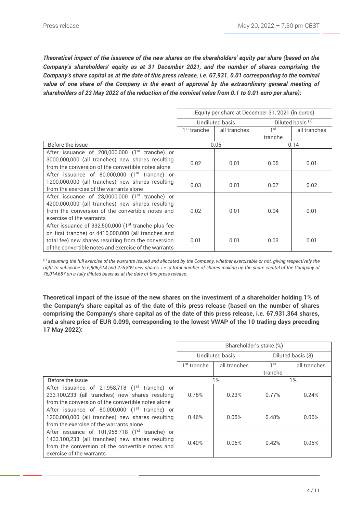*Theoretical impact of the issuance of the new shares on the shareholders' equity per share (based on the Company's shareholders' equity as at 31 December 2021, and the number of shares comprising the Company's share capital as at the date of this press release, i.e. 67,931. 0.01 corresponding to the nominal value of one share of the Company in the event of approval by the extraordinary general meeting of shareholders of 23 May 2022 of the reduction of the nominal value from 0.1 to 0.01 euro per share):*

|                                                                 | Equity per share at December 31, 2021 (in euros) |              |                              |              |
|-----------------------------------------------------------------|--------------------------------------------------|--------------|------------------------------|--------------|
|                                                                 | Undiluted basis                                  |              | Diluted basis <sup>(1)</sup> |              |
|                                                                 | 1 <sup>st</sup> tranche                          | all tranches | 1st                          | all tranches |
|                                                                 |                                                  |              | tranche                      |              |
| Before the issue                                                |                                                  | 0.05         | 0.14                         |              |
| After issuance of 200,000,000 (1 <sup>st</sup> tranche) or      |                                                  |              |                              |              |
| 3000,000,000 (all tranches) new shares resulting                | 0.02                                             | 0.01         | 0.05                         | 0.01         |
| from the conversion of the convertible notes alone              |                                                  |              |                              |              |
| After issuance of 80,000,000 $(1st$ tranche) or                 |                                                  |              |                              |              |
| 1200,000,000 (all tranches) new shares resulting                | 0.03                                             | 0.01         | 0.07                         | 0.02         |
| from the exercise of the warrants alone                         |                                                  |              |                              |              |
| After issuance of $28,0000,000$ (1 <sup>st</sup> tranche) or    |                                                  |              |                              |              |
| 4200,000,000 (all tranches) new shares resulting                |                                                  |              |                              |              |
| from the conversion of the convertible notes and                | 0.02                                             | 0.01         | 0.04                         | 0.01         |
| exercise of the warrants                                        |                                                  |              |                              |              |
| After issuance of 332,500,000 (1 <sup>st</sup> tranche plus fee |                                                  |              |                              |              |
| on first tranche) or 4410,000,000 (all tranches and             |                                                  |              |                              |              |
| total fee) new shares resulting from the conversion             | 0.01                                             | 0.01         | 0.03                         | 0.01         |
| of the convertible notes and exercise of the warrants           |                                                  |              |                              |              |

*(1) assuming the full exercise of the warrants issued and allocated by the Company, whether exercisable or not, giving respectively the right to subscribe to 6,806,514 and 276,809 new shares, i.e. a total number of shares making up the share capital of the Company of 75,014,687 on a fully diluted basis as at the date of this press release.*

**Theoretical impact of the issue of the new shares on the investment of a shareholder holding 1% of the Company's share capital as of the date of this press release (based on the number of shares comprising the Company's share capital as of the date of this press release, i.e. 67,931,364 shares, and a share price of EUR 0.099, corresponding to the lowest VWAP of the 10 trading days preceding 17 May 2022):**

|                                                                                                                                                                                                | Shareholder's stake (%) |              |                   |              |
|------------------------------------------------------------------------------------------------------------------------------------------------------------------------------------------------|-------------------------|--------------|-------------------|--------------|
|                                                                                                                                                                                                | Undiluted basis         |              | Diluted basis (3) |              |
|                                                                                                                                                                                                | 1 <sup>st</sup> tranche | all tranches | 1 <sup>st</sup>   | all tranches |
|                                                                                                                                                                                                |                         |              | tranche           |              |
| Before the issue                                                                                                                                                                               | $1\%$                   |              | $1\%$             |              |
| After issuance of 21,958,718 (1 <sup>st</sup> tranche) or<br>233,100,233 (all tranches) new shares resulting<br>from the conversion of the convertible notes alone                             | 0.76%                   | 0.23%        | 0.77%             | 0.24%        |
| After issuance of 80,000,000 (1 <sup>st</sup> tranche) or<br>1200,000,000 (all tranches) new shares resulting<br>from the exercise of the warrants alone                                       | 0.46%                   | 0.05%        | 0.48%             | 0.06%        |
| After issuance of 101,958,718 (1 <sup>st</sup> tranche) or<br>1433,100,233 (all tranches) new shares resulting<br>from the conversion of the convertible notes and<br>exercise of the warrants | 0.40%                   | 0.05%        | 0.42%             | 0.05%        |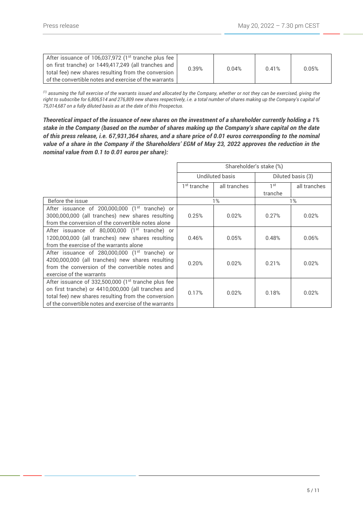*(1) assuming the full exercise of the warrants issued and allocated by the Company, whether or not they can be exercised, giving the right to subscribe for 6,806,514 and 276,809 new shares respectively, i.e. a total number of shares making up the Company's capital of 75,014,687 on a fully diluted basis as at the date of this Prospectus.*

*Theoretical impact of the issuance of new shares on the investment of a shareholder currently holding a 1% stake in the Company (based on the number of shares making up the Company's share capital on the date of this press release, i.e. 67,931,364 shares, and a share price of 0.01 euros corresponding to the nominal value of a share in the Company if the Shareholders' EGM of May 23, 2022 approves the reduction in the nominal value from 0.1 to 0.01 euros per share):*

|                                                            | Shareholder's stake (%) |              |                   |              |
|------------------------------------------------------------|-------------------------|--------------|-------------------|--------------|
|                                                            | <b>Undiluted basis</b>  |              | Diluted basis (3) |              |
|                                                            | 1 <sup>st</sup> tranche | all tranches | 1 <sup>st</sup>   | all tranches |
|                                                            |                         |              | tranche           |              |
| Before the issue                                           |                         | $1\%$        |                   | $1\%$        |
| After issuance of 200,000,000 (1 <sup>st</sup> tranche) or |                         |              |                   |              |
| 3000,000,000 (all tranches) new shares resulting           | 0.25%                   | 0.02%        | 0.27%             | 0.02%        |
| from the conversion of the convertible notes alone         |                         |              |                   |              |
| After issuance of 80,000,000 $(1st$ tranche) or            |                         |              |                   |              |
| 1200,000,000 (all tranches) new shares resulting           | 0.46%                   | 0.05%        | 0.48%             | 0.06%        |
| from the exercise of the warrants alone                    |                         |              |                   |              |
| After issuance of 280,000,000 (1 <sup>st</sup> tranche) or |                         |              |                   |              |
| 4200,000,000 (all tranches) new shares resulting           | 0.20%                   | 0.02%        | 0.21%             | 0.02%        |
| from the conversion of the convertible notes and           |                         |              |                   |              |
| exercise of the warrants                                   |                         |              |                   |              |
| After issuance of 332,500,000 $(1st$ tranche plus fee      |                         |              |                   |              |
| on first tranche) or 4410,000,000 (all tranches and        | 0.17%                   | 0.02%        | 0.18%             | 0.02%        |
| total fee) new shares resulting from the conversion        |                         |              |                   |              |
| of the convertible notes and exercise of the warrants      |                         |              |                   |              |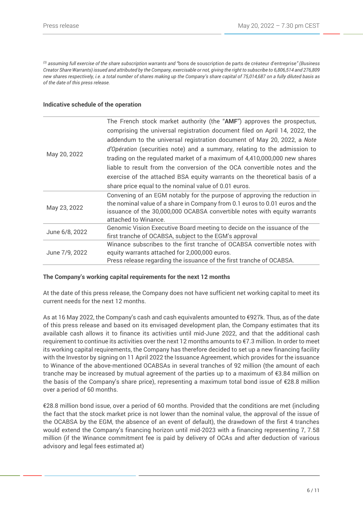*(3) assuming full exercise of the share subscription warrants and "*bons de souscription de parts de créateur d'entreprise*" (Business Creator Share Warrants) issued and attributed by the Company, exercisable or not, giving the right to subscribe to 6,806,514 and 276,809 new shares respectively, i.e. a total number of shares making up the Company's share capital of 75,014,687 on a fully diluted basis as of the date of this press release.*

### **Indicative schedule of the operation**

|                | The French stock market authority (the "AMF") approves the prospectus,       |
|----------------|------------------------------------------------------------------------------|
| May 20, 2022   | comprising the universal registration document filed on April 14, 2022, the  |
|                | addendum to the universal registration document of May 20, 2022, a Note      |
|                | d'Opération (securities note) and a summary, relating to the admission to    |
|                | trading on the regulated market of a maximum of 4,410,000,000 new shares     |
|                | liable to result from the conversion of the OCA convertible notes and the    |
|                | exercise of the attached BSA equity warrants on the theoretical basis of a   |
|                | share price equal to the nominal value of 0.01 euros.                        |
|                | Convening of an EGM notably for the purpose of approving the reduction in    |
| May 23, 2022   | the nominal value of a share in Company from 0.1 euros to 0.01 euros and the |
|                | issuance of the 30,000,000 OCABSA convertible notes with equity warrants     |
|                | attached to Winance.                                                         |
|                | Genomic Vision Executive Board meeting to decide on the issuance of the      |
| June 6/8, 2022 | first tranche of OCABSA, subject to the EGM's approval                       |
|                | Winance subscribes to the first tranche of OCABSA convertible notes with     |
| June 7/9, 2022 | equity warrants attached for 2,000,000 euros.                                |
|                | Press release regarding the issuance of the first tranche of OCABSA.         |

## **The Company's working capital requirements for the next 12 months**

At the date of this press release, the Company does not have sufficient net working capital to meet its current needs for the next 12 months.

As at 16 May 2022, the Company's cash and cash equivalents amounted to €927k. Thus, as of the date of this press release and based on its envisaged development plan, the Company estimates that its available cash allows it to finance its activities until mid-June 2022, and that the additional cash requirement to continue its activities over the next 12 months amounts to €7.3 million. In order to meet its working capital requirements, the Company has therefore decided to set up a new financing facility with the Investor by signing on 11 April 2022 the Issuance Agreement, which provides for the issuance to Winance of the above-mentioned OCABSAs in several tranches of 92 million (the amount of each tranche may be increased by mutual agreement of the parties up to a maximum of  $\epsilon$ 3.84 million on the basis of the Company's share price), representing a maximum total bond issue of €28.8 million over a period of 60 months.

€28.8 million bond issue, over a period of 60 months. Provided that the conditions are met (including the fact that the stock market price is not lower than the nominal value, the approval of the issue of the OCABSA by the EGM, the absence of an event of default), the drawdown of the first 4 tranches would extend the Company's financing horizon until mid-2023 with a financing representing 7, 7.58 million (if the Winance commitment fee is paid by delivery of OCAs and after deduction of various advisory and legal fees estimated at)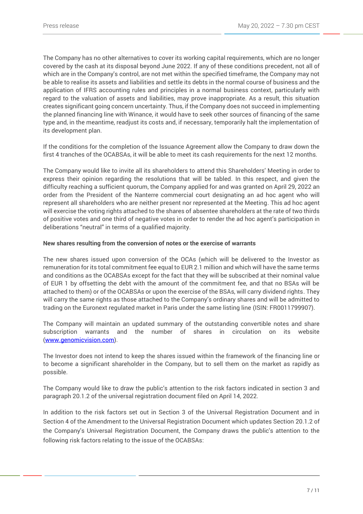The Company has no other alternatives to cover its working capital requirements, which are no longer covered by the cash at its disposal beyond June 2022. If any of these conditions precedent, not all of which are in the Company's control, are not met within the specified timeframe, the Company may not be able to realise its assets and liabilities and settle its debts in the normal course of business and the application of IFRS accounting rules and principles in a normal business context, particularly with regard to the valuation of assets and liabilities, may prove inappropriate. As a result, this situation creates significant going concern uncertainty. Thus, if the Company does not succeed in implementing the planned financing line with Winance, it would have to seek other sources of financing of the same type and, in the meantime, readjust its costs and, if necessary, temporarily halt the implementation of its development plan.

If the conditions for the completion of the Issuance Agreement allow the Company to draw down the first 4 tranches of the OCABSAs, it will be able to meet its cash requirements for the next 12 months.

The Company would like to invite all its shareholders to attend this Shareholders' Meeting in order to express their opinion regarding the resolutions that will be tabled. In this respect, and given the difficulty reaching a sufficient quorum, the Company applied for and was granted on April 29, 2022 an order from the President of the Nanterre commercial court designating an ad hoc agent who will represent all shareholders who are neither present nor represented at the Meeting. This ad hoc agent will exercise the voting rights attached to the shares of absentee shareholders at the rate of two thirds of positive votes and one third of negative votes in order to render the ad hoc agent's participation in deliberations "neutral" in terms of a qualified majority.

## **New shares resulting from the conversion of notes or the exercise of warrants**

The new shares issued upon conversion of the OCAs (which will be delivered to the Investor as remuneration for its total commitment fee equal to EUR 2.1 million and which will have the same terms and conditions as the OCABSAs except for the fact that they will be subscribed at their nominal value of EUR 1 by offsetting the debt with the amount of the commitment fee, and that no BSAs will be attached to them) or of the OCABSAs or upon the exercise of the BSAs, will carry dividend rights. They will carry the same rights as those attached to the Company's ordinary shares and will be admitted to trading on the Euronext regulated market in Paris under the same listing line (ISIN: FR0011799907).

The Company will maintain an updated summary of the outstanding convertible notes and share subscription warrants and the number of shares in circulation on its website [\(www.genomicvision.com\)](http://www.genomicvision.com/).

The Investor does not intend to keep the shares issued within the framework of the financing line or to become a significant shareholder in the Company, but to sell them on the market as rapidly as possible.

The Company would like to draw the public's attention to the risk factors indicated in section 3 and paragraph 20.1.2 of the universal registration document filed on April 14, 2022.

In addition to the risk factors set out in Section 3 of the Universal Registration Document and in Section 4 of the Amendment to the Universal Registration Document which updates Section 20.1.2 of the Company's Universal Registration Document, the Company draws the public's attention to the following risk factors relating to the issue of the OCABSAs: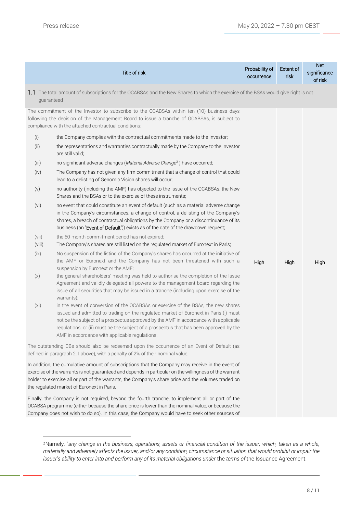$\overline{a}$ 

|                 | Title of risk                                                                                                                                                                                                                                                                                                                                                                                                                                                                                                          | Probability of<br>occurrence | <b>Extent of</b><br>risk | <b>Net</b><br>significance<br>of risk |
|-----------------|------------------------------------------------------------------------------------------------------------------------------------------------------------------------------------------------------------------------------------------------------------------------------------------------------------------------------------------------------------------------------------------------------------------------------------------------------------------------------------------------------------------------|------------------------------|--------------------------|---------------------------------------|
| guaranteed      | 1.1 The total amount of subscriptions for the OCABSAs and the New Shares to which the exercise of the BSAs would give right is not                                                                                                                                                                                                                                                                                                                                                                                     |                              |                          |                                       |
|                 | The commitment of the Investor to subscribe to the OCABSAs within ten (10) business days<br>following the decision of the Management Board to issue a tranche of OCABSAs, is subject to<br>compliance with the attached contractual conditions:                                                                                                                                                                                                                                                                        |                              |                          |                                       |
| (i)             | the Company complies with the contractual commitments made to the Investor;                                                                                                                                                                                                                                                                                                                                                                                                                                            |                              |                          |                                       |
| (ii)            | the representations and warranties contractually made by the Company to the Investor<br>are still valid;                                                                                                                                                                                                                                                                                                                                                                                                               |                              |                          |                                       |
| (iii)           | no significant adverse changes (Material Adverse Change <sup>2</sup> ) have occurred;                                                                                                                                                                                                                                                                                                                                                                                                                                  |                              |                          |                                       |
| (iv)            | The Company has not given any firm commitment that a change of control that could<br>lead to a delisting of Genomic Vision shares will occur;                                                                                                                                                                                                                                                                                                                                                                          |                              |                          |                                       |
| (v)             | no authority (including the AMF) has objected to the issue of the OCABSAs, the New<br>Shares and the BSAs or to the exercise of these instruments;                                                                                                                                                                                                                                                                                                                                                                     |                              |                          |                                       |
| (vi)            | no event that could constitute an event of default (such as a material adverse change<br>in the Company's circumstances, a change of control, a delisting of the Company's<br>shares, a breach of contractual obligations by the Company or a discontinuance of its<br>business (an "Event of Default")) exists as of the date of the drawdown request;                                                                                                                                                                |                              |                          |                                       |
| (vii)<br>(viii) | the 60-month commitment period has not expired;<br>The Company's shares are still listed on the regulated market of Euronext in Paris;                                                                                                                                                                                                                                                                                                                                                                                 |                              |                          |                                       |
| (ix)<br>(x)     | No suspension of the listing of the Company's shares has occurred at the initiative of<br>the AMF or Euronext and the Company has not been threatened with such a<br>suspension by Euronext or the AMF;<br>the general shareholders' meeting was held to authorise the completion of the Issue<br>Agreement and validly delegated all powers to the management board regarding the                                                                                                                                     | High                         | High                     | High                                  |
| (xi)            | issue of all securities that may be issued in a tranche (including upon exercise of the<br>warrants);<br>in the event of conversion of the OCABSAs or exercise of the BSAs, the new shares<br>issued and admitted to trading on the regulated market of Euronext in Paris (i) must<br>not be the subject of a prospectus approved by the AMF in accordance with applicable<br>regulations, or (ii) must be the subject of a prospectus that has been approved by the<br>AMF in accordance with applicable regulations. |                              |                          |                                       |
|                 | The outstanding CBs should also be redeemed upon the occurrence of an Event of Default (as<br>defined in paragraph 2.1 above), with a penalty of 2% of their nominal value.                                                                                                                                                                                                                                                                                                                                            |                              |                          |                                       |
|                 | In addition, the cumulative amount of subscriptions that the Company may receive in the event of<br>exercise of the warrants is not guaranteed and depends in particular on the willingness of the warrant<br>holder to exercise all or part of the warrants, the Company's share price and the volumes traded on<br>the regulated market of Euronext in Paris.                                                                                                                                                        |                              |                          |                                       |
|                 | Finally, the Company is not required, beyond the fourth tranche, to implement all or part of the<br>OCABSA programme (either because the share price is lower than the nominal value, or because the<br>Company does not wish to do so). In this case, the Company would have to seek other sources of                                                                                                                                                                                                                 |                              |                          |                                       |

<sup>2</sup>Namely, "*any change in the business, operations, assets or financial condition of the issuer, which, taken as a whole, materially and adversely affects the issuer, and/or any condition, circumstance or situation that would prohibit or impair the issuer's ability to enter into and perform any of its material obligations under* the *terms of* the Issuance Agreement.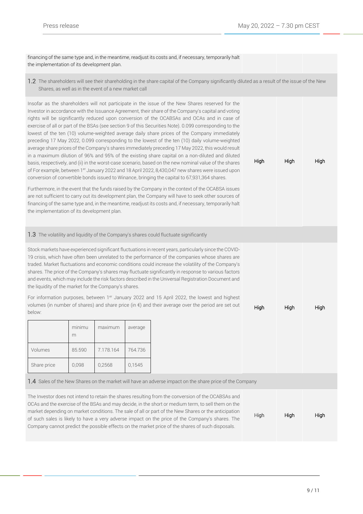High High High

High High High

financing of the same type and, in the meantime, readjust its costs and, if necessary, temporarily halt the implementation of its development plan.

1.2 The shareholders will see their shareholding in the share capital of the Company significantly diluted as a result of the issue of the New Shares, as well as in the event of a new market call

Insofar as the shareholders will not participate in the issue of the New Shares reserved for the Investor in accordance with the Issuance Agreement, their share of the Company's capital and voting rights will be significantly reduced upon conversion of the OCABSAs and OCAs and in case of exercise of all or part of the BSAs (see section 9 of this Securities Note). 0.099 corresponding to the lowest of the ten (10) volume-weighted average daily share prices of the Company immediately preceding 17 May 2022, 0.099 corresponding to the lowest of the ten (10) daily volume-weighted average share prices of the Company's shares immediately preceding 17 May 2022, this would result in a maximum dilution of 96% and 95% of the existing share capital on a non-diluted and diluted basis, respectively, and (ii) in the worst-case scenario, based on the new nominal value of the shares of For example, between 1er January 2022 and 18 April 2022, 8,430,047 new shares were issued upon conversion of convertible bonds issued to Winance, bringing the capital to 67,931,364 shares.

Furthermore, in the event that the funds raised by the Company in the context of the OCABSA issues are not sufficient to carry out its development plan, the Company will have to seek other sources of financing of the same type and, in the meantime, readjust its costs and, if necessary, temporarily halt the implementation of its development plan.

#### 1.3 The volatility and liquidity of the Company's shares could fluctuate significantly

Stock markets have experienced significant fluctuations in recent years, particularly since the COVID-19 crisis, which have often been unrelated to the performance of the companies whose shares are traded. Market fluctuations and economic conditions could increase the volatility of the Company's shares. The price of the Company's shares may fluctuate significantly in response to various factors and events, which may include the risk factors described in the Universal Registration Document and the liquidity of the market for the Company's shares.

For information purposes, between 1<sup>er</sup> January 2022 and 15 April 2022, the lowest and highest volumes (in number of shares) and share price (in  $\epsilon$ ) and their average over the period are set out below:

|             | minimu<br>m | maximum   | average |
|-------------|-------------|-----------|---------|
| Volumes     | 85.590      | 7.178.164 | 764.736 |
| Share price | 0,098       | 0,2568    | 0,1545  |

#### 1.4 Sales of the New Shares on the market will have an adverse impact on the share price of the Company

The Investor does not intend to retain the shares resulting from the conversion of the OCABSAs and OCAs and the exercise of the BSAs and may decide, in the short or medium term, to sell them on the market depending on market conditions. The sale of all or part of the New Shares or the anticipation of such sales is likely to have a very adverse impact on the price of the Company's shares. The Company cannot predict the possible effects on the market price of the shares of such disposals.

High High High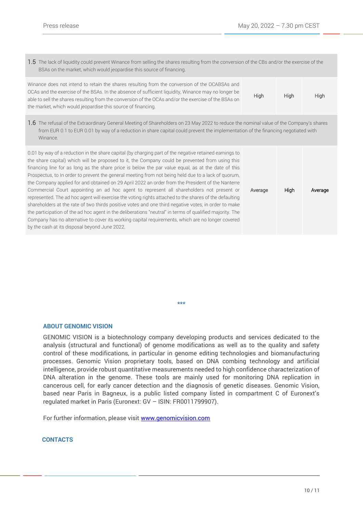Average High Average

1.5 The lack of liquidity could prevent Winance from selling the shares resulting from the conversion of the CBs and/or the exercise of the BSAs on the market, which would jeopardise this source of financing.

| Winance does not intend to retain the shares resulting from the conversion of the OCABSAs and        |             |             |      |
|------------------------------------------------------------------------------------------------------|-------------|-------------|------|
| OCAs and the exercise of the BSAs. In the absence of sufficient liquidity, Winance may no longer be  | <b>High</b> |             |      |
| able to sell the shares resulting from the conversion of the OCAs and/or the exercise of the BSAs on |             | <b>High</b> | High |
| the market, which would jeopardise this source of financing.                                         |             |             |      |

1.6 The refusal of the Extraordinary General Meeting of Shareholders on 23 May 2022 to reduce the nominal value of the Company's shares from EUR 0.1 to EUR 0.01 by way of a reduction in share capital could prevent the implementation of the financing negotiated with Winance.

0.01 by way of a reduction in the share capital (by charging part of the negative retained earnings to the share capital) which will be proposed to it, the Company could be prevented from using this financing line for as long as the share price is below the par value equal, as at the date of this Prospectus, to In order to prevent the general meeting from not being held due to a lack of quorum, the Company applied for and obtained on 29 April 2022 an order from the President of the Nanterre Commercial Court appointing an ad hoc agent to represent all shareholders not present or represented. The ad hoc agent will exercise the voting rights attached to the shares of the defaulting shareholders at the rate of two thirds positive votes and one third negative votes, in order to make the participation of the ad hoc agent in the deliberations "neutral" in terms of qualified majority. The Company has no alternative to cover its working capital requirements, which are no longer covered by the cash at its disposal beyond June 2022.

**\*\*\***

## **ABOUT GENOMIC VISION**

GENOMIC VISION is a biotechnology company developing products and services dedicated to the analysis (structural and functional) of genome modifications as well as to the quality and safety control of these modifications, in particular in genome editing technologies and biomanufacturing processes. Genomic Vision proprietary tools, based on DNA combing technology and artificial intelligence, provide robust quantitative measurements needed to high confidence characterization of DNA alteration in the genome. These tools are mainly used for monitoring DNA replication in cancerous cell, for early cancer detection and the diagnosis of genetic diseases. Genomic Vision, based near Paris in Bagneux, is a public listed company listed in compartment C of Euronext's regulated market in Paris (Euronext: GV – ISIN: FR0011799907).

For further information, please visit [www.genomicvision.com](http://www.genomicvision.com/) 

### **CONTACTS**